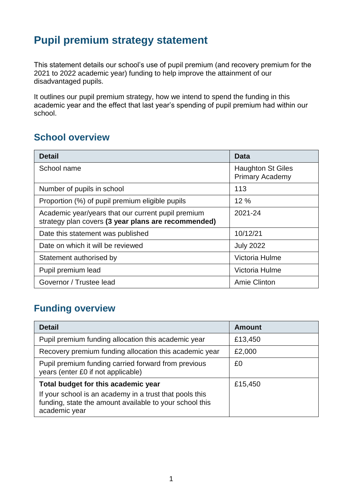## **Pupil premium strategy statement**

This statement details our school's use of pupil premium (and recovery premium for the 2021 to 2022 academic year) funding to help improve the attainment of our disadvantaged pupils.

It outlines our pupil premium strategy, how we intend to spend the funding in this academic year and the effect that last year's spending of pupil premium had within our school.

#### **School overview**

| <b>Detail</b>                                                                                             | Data                                               |
|-----------------------------------------------------------------------------------------------------------|----------------------------------------------------|
| School name                                                                                               | <b>Haughton St Giles</b><br><b>Primary Academy</b> |
| Number of pupils in school                                                                                | 113                                                |
| Proportion (%) of pupil premium eligible pupils                                                           | 12 %                                               |
| Academic year/years that our current pupil premium<br>strategy plan covers (3 year plans are recommended) | 2021-24                                            |
| Date this statement was published                                                                         | 10/12/21                                           |
| Date on which it will be reviewed                                                                         | <b>July 2022</b>                                   |
| Statement authorised by                                                                                   | Victoria Hulme                                     |
| Pupil premium lead                                                                                        | Victoria Hulme                                     |
| Governor / Trustee lead                                                                                   | Amie Clinton                                       |

#### **Funding overview**

| <b>Detail</b>                                                                                                                       | <b>Amount</b> |
|-------------------------------------------------------------------------------------------------------------------------------------|---------------|
| Pupil premium funding allocation this academic year                                                                                 | £13,450       |
| Recovery premium funding allocation this academic year                                                                              | £2,000        |
| Pupil premium funding carried forward from previous<br>years (enter £0 if not applicable)                                           | £0            |
| Total budget for this academic year                                                                                                 | £15,450       |
| If your school is an academy in a trust that pools this<br>funding, state the amount available to your school this<br>academic year |               |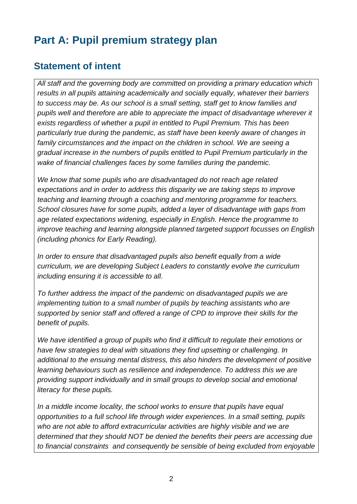## **Part A: Pupil premium strategy plan**

#### **Statement of intent**

*All staff and the governing body are committed on providing a primary education which results in all pupils attaining academically and socially equally, whatever their barriers to success may be. As our school is a small setting, staff get to know families and pupils well and therefore are able to appreciate the impact of disadvantage wherever it exists regardless of whether a pupil in entitled to Pupil Premium. This has been particularly true during the pandemic, as staff have been keenly aware of changes in family circumstances and the impact on the children in school. We are seeing a gradual increase in the numbers of pupils entitled to Pupil Premium particularly in the wake of financial challenges faces by some families during the pandemic.*

*We know that some pupils who are disadvantaged do not reach age related expectations and in order to address this disparity we are taking steps to improve teaching and learning through a coaching and mentoring programme for teachers. School closures have for some pupils, added a layer of disadvantage with gaps from age related expectations widening, especially in English. Hence the programme to improve teaching and learning alongside planned targeted support focusses on English (including phonics for Early Reading).* 

*In order to ensure that disadvantaged pupils also benefit equally from a wide curriculum, we are developing Subject Leaders to constantly evolve the curriculum including ensuring it is accessible to all.* 

*To further address the impact of the pandemic on disadvantaged pupils we are implementing tuition to a small number of pupils by teaching assistants who are supported by senior staff and offered a range of CPD to improve their skills for the benefit of pupils.*

*We have identified a group of pupils who find it difficult to regulate their emotions or have few strategies to deal with situations they find upsetting or challenging. In additional to the ensuing mental distress, this also hinders the development of positive learning behaviours such as resilience and independence. To address this we are providing support individually and in small groups to develop social and emotional literacy for these pupils.*

*In a middle income locality, the school works to ensure that pupils have equal opportunities to a full school life through wider experiences. In a small setting, pupils*  who are not able to afford extracurricular activities are highly visible and we are *determined that they should NOT be denied the benefits their peers are accessing due to financial constraints and consequently be sensible of being excluded from enjoyable*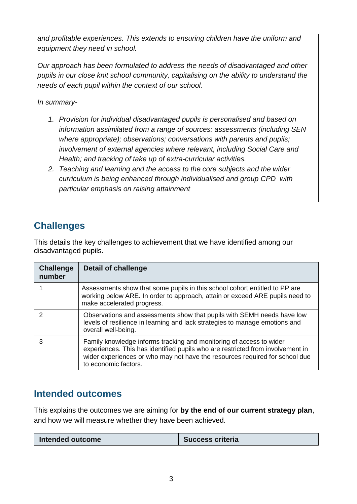*and profitable experiences. This extends to ensuring children have the uniform and equipment they need in school.*

*Our approach has been formulated to address the needs of disadvantaged and other pupils in our close knit school community, capitalising on the ability to understand the needs of each pupil within the context of our school.*

*In summary-*

- *1. Provision for individual disadvantaged pupils is personalised and based on information assimilated from a range of sources: assessments (including SEN where appropriate); observations; conversations with parents and pupils; involvement of external agencies where relevant, including Social Care and Health; and tracking of take up of extra-curricular activities.*
- *2. Teaching and learning and the access to the core subjects and the wider curriculum is being enhanced through individualised and group CPD with particular emphasis on raising attainment*

### **Challenges**

This details the key challenges to achievement that we have identified among our disadvantaged pupils.

| <b>Challenge</b><br>number | <b>Detail of challenge</b>                                                                                                                                                                                                                                   |
|----------------------------|--------------------------------------------------------------------------------------------------------------------------------------------------------------------------------------------------------------------------------------------------------------|
|                            | Assessments show that some pupils in this school cohort entitled to PP are<br>working below ARE. In order to approach, attain or exceed ARE pupils need to<br>make accelerated progress.                                                                     |
| າ                          | Observations and assessments show that pupils with SEMH needs have low<br>levels of resilience in learning and lack strategies to manage emotions and<br>overall well-being.                                                                                 |
| 3                          | Family knowledge informs tracking and monitoring of access to wider<br>experiences. This has identified pupils who are restricted from involvement in<br>wider experiences or who may not have the resources required for school due<br>to economic factors. |

#### **Intended outcomes**

This explains the outcomes we are aiming for **by the end of our current strategy plan**, and how we will measure whether they have been achieved.

| Intended outcome | <b>Success criteria</b> |
|------------------|-------------------------|
|                  |                         |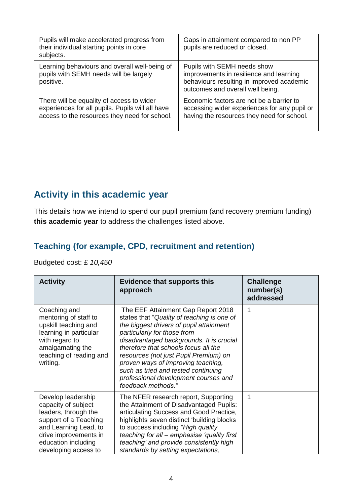| Pupils will make accelerated progress from<br>their individual starting points in core<br>subjects.                                            | Gaps in attainment compared to non PP<br>pupils are reduced or closed.                                                                                  |
|------------------------------------------------------------------------------------------------------------------------------------------------|---------------------------------------------------------------------------------------------------------------------------------------------------------|
| Learning behaviours and overall well-being of<br>pupils with SEMH needs will be largely<br>positive.                                           | Pupils with SEMH needs show<br>improvements in resilience and learning<br>behaviours resulting in improved academic<br>outcomes and overall well being. |
| There will be equality of access to wider<br>experiences for all pupils. Pupils will all have<br>access to the resources they need for school. | Economic factors are not be a barrier to<br>accessing wider experiences for any pupil or<br>having the resources they need for school.                  |

#### **Activity in this academic year**

This details how we intend to spend our pupil premium (and recovery premium funding) **this academic year** to address the challenges listed above.

#### **Teaching (for example, CPD, recruitment and retention)**

Budgeted cost: £ *10,450*

| <b>Activity</b>                                                                                                                                                                             | <b>Evidence that supports this</b><br>approach                                                                                                                                                                                                                                                                                                                                                                                     | <b>Challenge</b><br>number(s)<br>addressed |
|---------------------------------------------------------------------------------------------------------------------------------------------------------------------------------------------|------------------------------------------------------------------------------------------------------------------------------------------------------------------------------------------------------------------------------------------------------------------------------------------------------------------------------------------------------------------------------------------------------------------------------------|--------------------------------------------|
| Coaching and<br>mentoring of staff to<br>upskill teaching and<br>learning in particular<br>with regard to<br>amalgamating the<br>teaching of reading and<br>writing.                        | The EEF Attainment Gap Report 2018<br>states that "Quality of teaching is one of<br>the biggest drivers of pupil attainment<br>particularly for those from<br>disadvantaged backgrounds. It is crucial<br>therefore that schools focus all the<br>resources (not just Pupil Premium) on<br>proven ways of improving teaching,<br>such as tried and tested continuing<br>professional development courses and<br>feedback methods." | 1                                          |
| Develop leadership<br>capacity of subject<br>leaders, through the<br>support of a Teaching<br>and Learning Lead, to<br>drive improvements in<br>education including<br>developing access to | The NFER research report, Supporting<br>the Attainment of Disadvantaged Pupils:<br>articulating Success and Good Practice,<br>highlights seven distinct 'building blocks<br>to success including "High quality<br>teaching for all – emphasise 'quality first<br>teaching' and provide consistently high<br>standards by setting expectations,                                                                                     | 1                                          |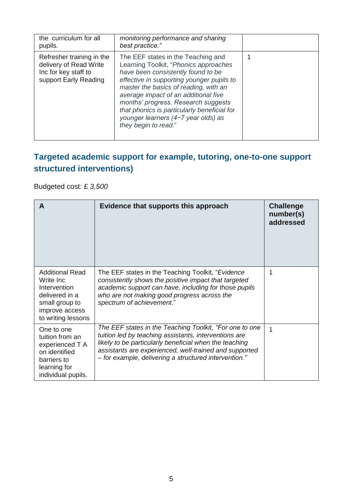| the curriculum for all<br>pupils.                                                                    | monitoring performance and sharing<br>best practice."                                                                                                                                                                                                                                                                                                                                                |  |
|------------------------------------------------------------------------------------------------------|------------------------------------------------------------------------------------------------------------------------------------------------------------------------------------------------------------------------------------------------------------------------------------------------------------------------------------------------------------------------------------------------------|--|
| Refresher training in the<br>delivery of Read Write<br>Inc for key staff to<br>support Early Reading | The EEF states in the Teaching and<br>Learning Toolkit, "Phonics approaches<br>have been consistently found to be<br>effective in supporting younger pupils to<br>master the basics of reading, with an<br>average impact of an additional five<br>months' progress. Research suggests<br>that phonics is particularly beneficial for<br>younger learners (4-7 year olds) as<br>they begin to read." |  |

#### **Targeted academic support for example, tutoring, one-to-one support structured interventions)**

Budgeted cost: £ *3,500*

| A                                                                                                                               | Evidence that supports this approach                                                                                                                                                                                                                                                          | <b>Challenge</b><br>number(s)<br>addressed |
|---------------------------------------------------------------------------------------------------------------------------------|-----------------------------------------------------------------------------------------------------------------------------------------------------------------------------------------------------------------------------------------------------------------------------------------------|--------------------------------------------|
| <b>Additional Read</b><br>Write Inc<br>Intervention<br>delivered in a<br>small group to<br>improve access<br>to writing lessons | The EEF states in the Teaching Toolkit, "Evidence<br>consistently shows the positive impact that targeted<br>academic support can have, including for those pupils<br>who are not making good progress across the<br>spectrum of achievement."                                                | 1                                          |
| One to one<br>tuition from an<br>experienced T A<br>on identified<br>barriers to<br>learning for<br>individual pupils.          | The EEF states in the Teaching Toolkit, "For one to one<br>tuition led by teaching assistants, interventions are<br>likely to be particularly beneficial when the teaching<br>assistants are experienced, well-trained and supported<br>- for example, delivering a structured intervention." | 1                                          |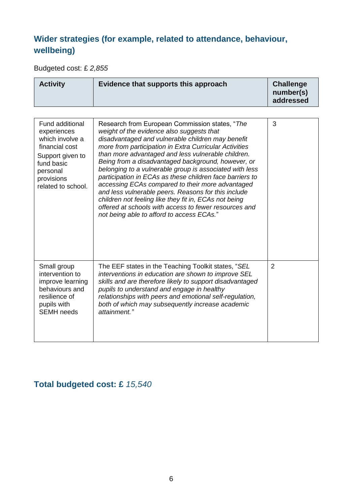#### **Wider strategies (for example, related to attendance, behaviour, wellbeing)**

Budgeted cost: £ *2,855*

|  | <b>Activity</b> | Evidence that supports this approach | <b>Challenge</b><br>number(s)<br>addressed |
|--|-----------------|--------------------------------------|--------------------------------------------|
|--|-----------------|--------------------------------------|--------------------------------------------|

| <b>Fund additional</b><br>experiences<br>which involve a<br>financial cost<br>Support given to<br>fund basic<br>personal<br>provisions<br>related to school. | Research from European Commission states, "The<br>weight of the evidence also suggests that<br>disadvantaged and vulnerable children may benefit<br>more from participation in Extra Curricular Activities<br>than more advantaged and less vulnerable children.<br>Being from a disadvantaged background, however, or<br>belonging to a vulnerable group is associated with less<br>participation in ECAs as these children face barriers to<br>accessing ECAs compared to their more advantaged<br>and less vulnerable peers. Reasons for this include<br>children not feeling like they fit in, ECAs not being<br>offered at schools with access to fewer resources and<br>not being able to afford to access ECAs." | 3              |
|--------------------------------------------------------------------------------------------------------------------------------------------------------------|-------------------------------------------------------------------------------------------------------------------------------------------------------------------------------------------------------------------------------------------------------------------------------------------------------------------------------------------------------------------------------------------------------------------------------------------------------------------------------------------------------------------------------------------------------------------------------------------------------------------------------------------------------------------------------------------------------------------------|----------------|
| Small group<br>intervention to<br>improve learning<br>behaviours and<br>resilience of<br>pupils with<br><b>SEMH</b> needs                                    | The EEF states in the Teaching Toolkit states, "SEL<br>interventions in education are shown to improve SEL<br>skills and are therefore likely to support disadvantaged<br>pupils to understand and engage in healthy<br>relationships with peers and emotional self-regulation,<br>both of which may subsequently increase academic<br>attainment."                                                                                                                                                                                                                                                                                                                                                                     | $\overline{2}$ |

#### **Total budgeted cost: £** *15,540*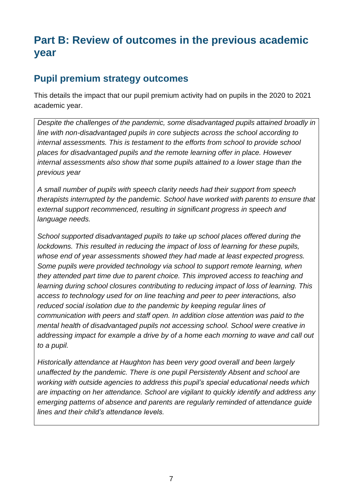## **Part B: Review of outcomes in the previous academic year**

#### **Pupil premium strategy outcomes**

This details the impact that our pupil premium activity had on pupils in the 2020 to 2021 academic year.

*Despite the challenges of the pandemic, some disadvantaged pupils attained broadly in line with non-disadvantaged pupils in core subjects across the school according to internal assessments. This is testament to the efforts from school to provide school places for disadvantaged pupils and the remote learning offer in place. However internal assessments also show that some pupils attained to a lower stage than the previous year*

*A small number of pupils with speech clarity needs had their support from speech therapists interrupted by the pandemic. School have worked with parents to ensure that external support recommenced, resulting in significant progress in speech and language needs.*

*School supported disadvantaged pupils to take up school places offered during the lockdowns. This resulted in reducing the impact of loss of learning for these pupils, whose end of year assessments showed they had made at least expected progress. Some pupils were provided technology via school to support remote learning, when they attended part time due to parent choice. This improved access to teaching and learning during school closures contributing to reducing impact of loss of learning. This access to technology used for on line teaching and peer to peer interactions, also reduced social isolation due to the pandemic by keeping regular lines of communication with peers and staff open. In addition close attention was paid to the mental health of disadvantaged pupils not accessing school. School were creative in addressing impact for example a drive by of a home each morning to wave and call out to a pupil.*

*Historically attendance at Haughton has been very good overall and been largely unaffected by the pandemic. There is one pupil Persistently Absent and school are working with outside agencies to address this pupil's special educational needs which are impacting on her attendance. School are vigilant to quickly identify and address any emerging patterns of absence and parents are regularly reminded of attendance guide lines and their child's attendance levels.*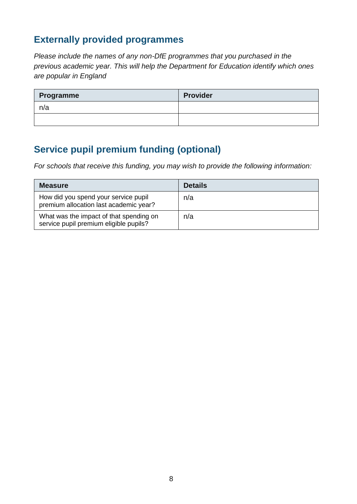#### **Externally provided programmes**

*Please include the names of any non-DfE programmes that you purchased in the previous academic year. This will help the Department for Education identify which ones are popular in England*

| Programme | <b>Provider</b> |
|-----------|-----------------|
| n/a       |                 |
|           |                 |

#### **Service pupil premium funding (optional)**

*For schools that receive this funding, you may wish to provide the following information:* 

| <b>Measure</b>                                                                    | <b>Details</b> |
|-----------------------------------------------------------------------------------|----------------|
| How did you spend your service pupil<br>premium allocation last academic year?    | n/a            |
| What was the impact of that spending on<br>service pupil premium eligible pupils? | n/a            |